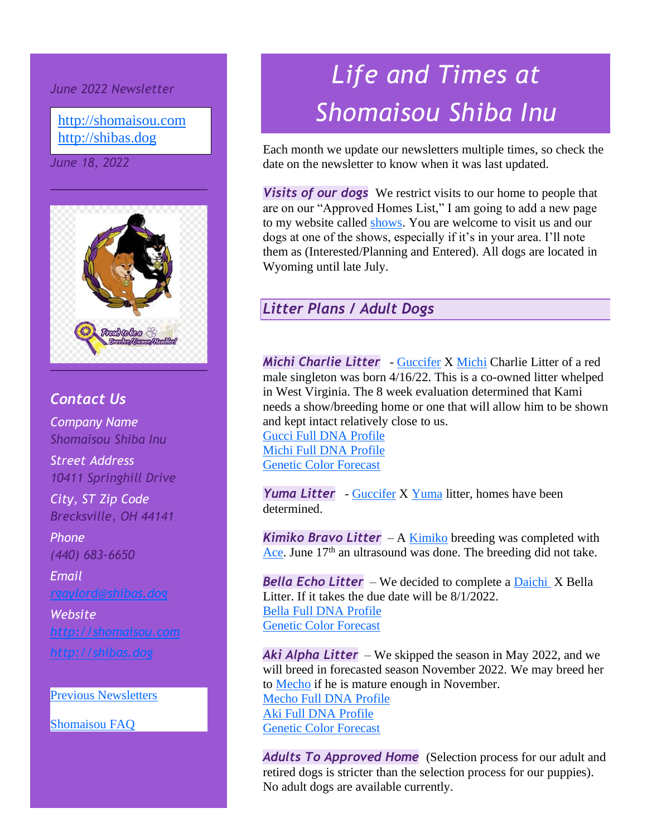*June 2022 Newsletter*

[http://shomaisou.com](http://shomaisou.com/) [http://shibas.dog](http://shibas.dog/)

*June 18, 2022*



#### *Contact Us*

*Company Name Shomaisou Shiba Inu*

*Street Address 10411 Springhill Drive*

*City, ST Zip Code Brecksville, OH 44141*

*Phone (440) 683-6650*

*Email [rgaylord@shibas.dog](mailto:rgaylord@shibas.dog)*

### *Website [http://shomaisou.com](http://shomaisou.com/) [http://shibas.dog](http://shibas.dog/)*

[Previous Newsletters](http://shibas.dog/newsletters.html)

[Shomaisou FAQ](http://shibas.dog/newsletters.html)

# *Life and Times at Shomaisou Shiba Inu*

Each month we update our newsletters multiple times, so check the date on the newsletter to know when it was last updated.

*Visits of our dogs* We restrict visits to our home to people that are on our "Approved Homes List," I am going to add a new page to my website called [shows.](http://shibas.dog/shows.html) You are welcome to visit us and our dogs at one of the shows, especially if it's in your area. I'll note them as (Interested/Planning and Entered). All dogs are located in Wyoming until late July.

### *Litter Plans / Adult Dogs*

*Michi Charlie Litter* - [Guccifer](http://shibas.dog/gucci.html) X [Michi](http://shibas.dog/michi.html) Charlie Litter of a red male singleton was born 4/16/22. This is a co-owned litter whelped in West Virginia. The 8 week evaluation determined that Kami needs a show/breeding home or one that will allow him to be shown and kept intact relatively close to us.

[Gucci Full DNA Profile](http://embk.me/gaylordsguccifer100shomaisou?utm_campaign=cns_ref_dog_pub_profile&utm_medium=other&utm_source=embark) [Michi Full DNA Profile](http://embk.me/gaylordsmichibbshomaisoumichiko?utm_campaign=cns_ref_dog_pub_profile&utm_medium=other&utm_source=embark) [Genetic Color Forecast](http://shibas.dog/PDF/Gucci_X_Michi_Genetic_Forecast.pdf)

*Yuma Litter* - [Guccifer](http://shibas.dog/gucci.html) X [Yuma](http://shibas.dog/yuma.html) litter, homes have been determined.

*Kimiko Bravo Litter* – A [Kimiko](http://shibas.dog/kimiko.html) breeding was completed with [Ace.](http://shibas.dog/ace.html) June  $17<sup>th</sup>$  an ultrasound was done. The breeding did not take.

*Bella Echo Litter* – We decided to complete a [Daichi](http://www.shibapedigree.com/details.php?id=82035) X Bella Litter. If it takes the due date will be 8/1/2022. [Bella Full DNA Profile](https://my.embarkvet.com/dog/reddxkimiecholittergirl1) [Genetic Color Forecast](http://shibas.dog/PDF/Kuzya_X_Bella_Genetic_Forecast.pdf)

*Aki Alpha Litter* – We skipped the season in May 2022, and we will breed in forecasted season November 2022. We may breed her to **Mecho** if he is mature enough in November. [Mecho Full DNA Profile](http://embk.me/bellabravolittermecho?utm_campaign=cns_ref_dog_pub_profile&utm_medium=other&utm_source=embark) [Aki Full DNA Profile](http://embk.me/teenie3?utm_campaign=cns_ref_dog_pub_profile&utm_medium=other&utm_source=embark) [Genetic Color Forecast](http://shibas.dog/PDF/Mecho_X_Aki_Genetic_Forecast.pdf)

*Adults To Approved Home* (Selection process for our adult and retired dogs is stricter than the selection process for our puppies). No adult dogs are available currently.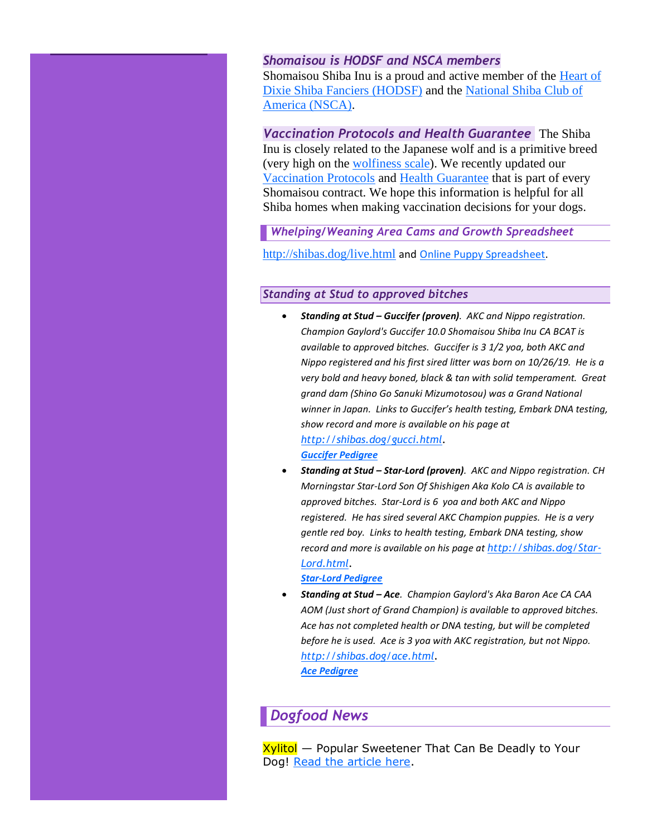#### *Shomaisou is HODSF and NSCA members*

Shomaisou Shiba Inu is a proud and active member of the Heart of Dixie [Shiba Fanciers \(HODSF\)](http://hodshibafanciers.com/) and the [National Shiba Club of](https://shibas.org/)  [America \(NSCA\).](https://shibas.org/)

*Vaccination Protocols and Health Guarantee* The Shiba Inu is closely related to the Japanese wolf and is a primitive breed (very high on the [wolfiness scale\)](https://embarkvet.com/frequently-asked-questions/#wolfiness-score). We recently updated our [Vaccination Protocols](http://shibas.dog/vaccinations.html) and [Health Guarantee](http://shibas.dog/PDF/Health_Guarantee_-_Attachment_B.pdf) that is part of every Shomaisou contract. We hope this information is helpful for all Shiba homes when making vaccination decisions for your dogs.

*Whelping/Weaning Area Cams and Growth Spreadsheet*

<http://shibas.dog/live.html> and [Online Puppy Spreadsheet.](https://www.dropbox.com/s/3ooq7rxjjf8uktc/AllPuppyWeights.xlsx?dl=0)

#### *Standing at Stud to approved bitches*

- *Standing at Stud – Guccifer (proven). AKC and Nippo registration. Champion Gaylord's Guccifer 10.0 Shomaisou Shiba Inu CA BCAT is available to approved bitches. Guccifer is 3 1/2 yoa, both AKC and Nippo registered and his first sired litter was born on 10/26/19. He is a very bold and heavy boned, black & tan with solid temperament. Great grand dam (Shino Go Sanuki Mizumotosou) was a Grand National winner in Japan. Links to Guccifer's health testing, Embark DNA testing, show record and more is available on his page at [http://shibas.dog/gucci.html.](http://shibas.dog/gucci.html) [Guccifer Pedigree](https://www.dropbox.com/s/r3k9kyy8t1wrlgq/pedigree_Gaylord%27s%20Guccifer%2010.0%20Sho%20Mai%20Sou_2019-10-18.pdf?dl=0)*
- *Standing at Stud – Star-Lord (proven). AKC and Nippo registration. CH Morningstar Star-Lord Son Of Shishigen Aka Kolo CA is available to approved bitches. Star-Lord is 6 yoa and both AKC and Nippo registered. He has sired several AKC Champion puppies. He is a very gentle red boy. Links to health testing, Embark DNA testing, show record and more is available on his page at [http://shibas.dog/Star-](http://shibas.dog/Star-Lord.html)[Lord.html.](http://shibas.dog/Star-Lord.html)*

*[Star-Lord Pedigree](https://www.dropbox.com/s/f22z1b2ae47jvrl/pedigree_Morningstar%20Star-Lord%20Son%20Of%20Shishigen%20Aka%20Kolo_2019-10-22.pdf?dl=0)*

• *Standing at Stud – Ace. Champion Gaylord's Aka Baron Ace CA CAA AOM (Just short of Grand Champion) is available to approved bitches. Ace has not completed health or DNA testing, but will be completed before he is used. Ace is 3 yoa with AKC registration, but not Nippo. [http://shibas.dog/ace.html.](http://shibas.dog/ace.html) [Ace Pedigree](https://www.dropbox.com/s/ghvg6x6oih8xydh/pedigree_Gaylord%27s%20AKA%20Baron%20Ace_2019-10-22.pdf?dl=0)*

#### *Dogfood News*

Xylitol — Popular Sweetener That Can Be Deadly to Your Dog! [Read the article here.](https://www.dogfoodadvisor.com/red-flag-ingredients/xylitol-dog/)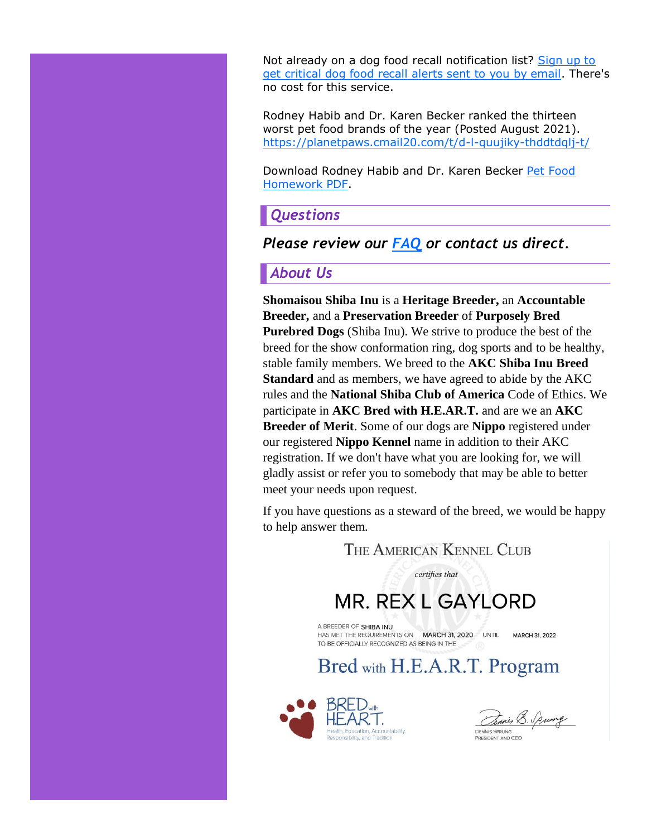Not already on a dog food recall notification list? [Sign up to](https://clicks.aweber.com/y/ct/?l=LsWKO&m=3bubCMlQCeO0_1z&b=OzZ8dAjksv4iD7sp4Fpb7g)  [get critical dog food recall alerts sent to you by email.](https://clicks.aweber.com/y/ct/?l=LsWKO&m=3bubCMlQCeO0_1z&b=OzZ8dAjksv4iD7sp4Fpb7g) There's no cost for this service.

Rodney Habib and Dr. Karen Becker ranked the thirteen worst pet food brands of the year (Posted August 2021). <https://planetpaws.cmail20.com/t/d-l-quujiky-thddtdqlj-t/>

Download Rodney Habib and Dr. Karen Becker [Pet Food](http://shibas.dog/PDF/Pet_Food_Homework.pdf)  [Homework PDF.](http://shibas.dog/PDF/Pet_Food_Homework.pdf)

#### *Questions*

#### *Please review our [FAQ](https://www.dropbox.com/s/1fi6xd49nb7020x/ShoMaiSou%20FAQ.docx?dl=0) or contact us direct.*

#### *About Us*

**Shomaisou Shiba Inu** is a **Heritage Breeder,** an **Accountable Breeder,** and a **Preservation Breeder** of **Purposely Bred Purebred Dogs** (Shiba Inu). We strive to produce the best of the breed for the show conformation ring, dog sports and to be healthy, stable family members. We breed to the **AKC Shiba Inu Breed Standard** and as members, we have agreed to abide by the AKC rules and the **National Shiba Club of America** Code of Ethics. We participate in **AKC Bred with H.E.AR.T.** and are we an **AKC Breeder of Merit**. Some of our dogs are **Nippo** registered under our registered **Nippo Kennel** name in addition to their AKC registration. If we don't have what you are looking for, we will gladly assist or refer you to somebody that may be able to better meet your needs upon request.

If you have questions as a steward of the breed, we would be happy to help answer them*.*

THE AMERICAN KENNEL CLUB

certifies that

# **MR. REX L GAYLORD**

A BREEDER OF SHIRA INLL HAS MET THE REQUIREMENTS ON MARCH 31, 2020 UNTIL MARCH 31, 2022 TO BE OFFICIALLY RECOGNIZED AS BEING IN THE

## Bred with H.E.A.R.T. Program



Dennis B. Spung **DENNIS SPRUNG** 

PRESIDENT AND CEO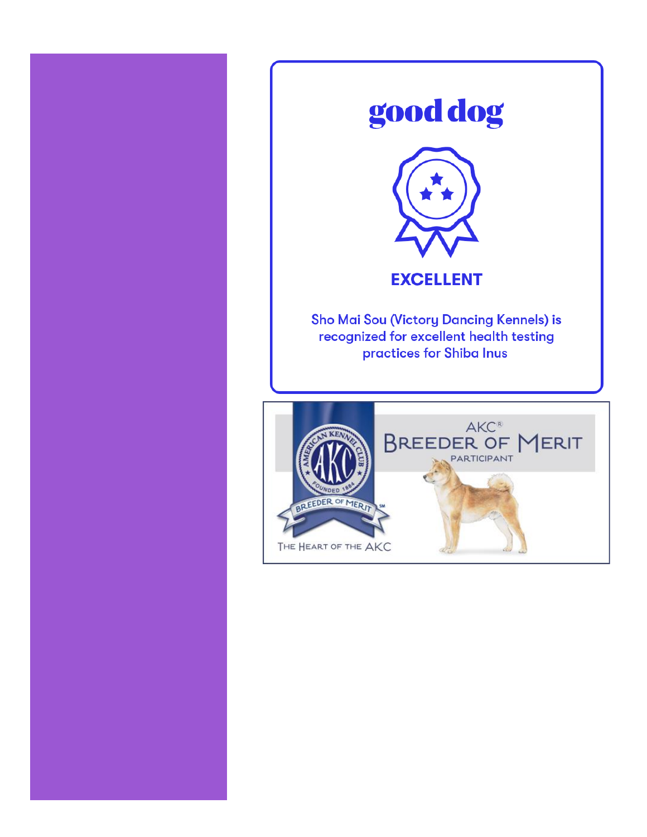